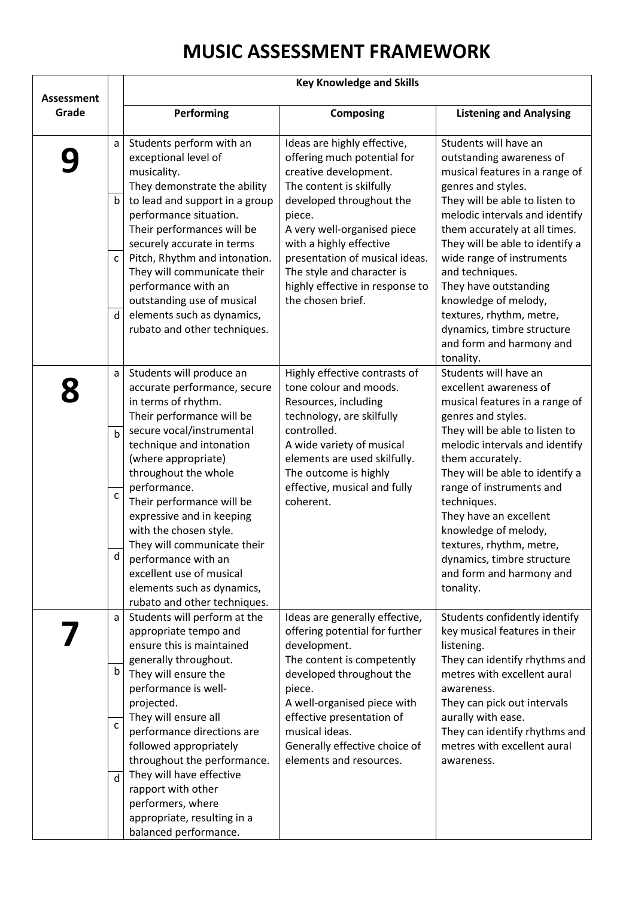## **MUSIC ASSESSMENT FRAMEWORK**

| <b>Assessment</b><br>Grade |                                  | Performing                                                                                                                                                                                                                                               | <b>Composing</b>                                                                                                                                                                                                                                  | <b>Listening and Analysing</b>                                                                                                                                                                                                                                                 |
|----------------------------|----------------------------------|----------------------------------------------------------------------------------------------------------------------------------------------------------------------------------------------------------------------------------------------------------|---------------------------------------------------------------------------------------------------------------------------------------------------------------------------------------------------------------------------------------------------|--------------------------------------------------------------------------------------------------------------------------------------------------------------------------------------------------------------------------------------------------------------------------------|
|                            | a<br>$\mathsf b$<br>$\mathsf{C}$ | Students perform with an<br>exceptional level of<br>musicality.<br>They demonstrate the ability<br>to lead and support in a group<br>performance situation.<br>Their performances will be<br>securely accurate in terms<br>Pitch, Rhythm and intonation. | Ideas are highly effective,<br>offering much potential for<br>creative development.<br>The content is skilfully<br>developed throughout the<br>piece.<br>A very well-organised piece<br>with a highly effective<br>presentation of musical ideas. | Students will have an<br>outstanding awareness of<br>musical features in a range of<br>genres and styles.<br>They will be able to listen to<br>melodic intervals and identify<br>them accurately at all times.<br>They will be able to identify a<br>wide range of instruments |
|                            |                                  | They will communicate their<br>performance with an<br>outstanding use of musical                                                                                                                                                                         | The style and character is<br>highly effective in response to<br>the chosen brief.                                                                                                                                                                | and techniques.<br>They have outstanding<br>knowledge of melody,                                                                                                                                                                                                               |
|                            | d                                | elements such as dynamics,<br>rubato and other techniques.                                                                                                                                                                                               |                                                                                                                                                                                                                                                   | textures, rhythm, metre,<br>dynamics, timbre structure<br>and form and harmony and<br>tonality.                                                                                                                                                                                |
|                            | a                                | Students will produce an<br>accurate performance, secure<br>in terms of rhythm.<br>Their performance will be                                                                                                                                             | Highly effective contrasts of<br>tone colour and moods.<br>Resources, including<br>technology, are skilfully                                                                                                                                      | Students will have an<br>excellent awareness of<br>musical features in a range of<br>genres and styles.                                                                                                                                                                        |
|                            | b                                | secure vocal/instrumental<br>technique and intonation<br>(where appropriate)<br>throughout the whole                                                                                                                                                     | controlled.<br>A wide variety of musical<br>elements are used skilfully.<br>The outcome is highly                                                                                                                                                 | They will be able to listen to<br>melodic intervals and identify<br>them accurately.<br>They will be able to identify a                                                                                                                                                        |
|                            | $\mathsf{C}$                     | performance.<br>Their performance will be<br>expressive and in keeping<br>with the chosen style.                                                                                                                                                         | effective, musical and fully<br>coherent.                                                                                                                                                                                                         | range of instruments and<br>techniques.<br>They have an excellent<br>knowledge of melody,                                                                                                                                                                                      |
|                            | d                                | They will communicate their<br>performance with an<br>excellent use of musical<br>elements such as dynamics,<br>rubato and other techniques.                                                                                                             |                                                                                                                                                                                                                                                   | textures, rhythm, metre,<br>dynamics, timbre structure<br>and form and harmony and<br>tonality.                                                                                                                                                                                |
|                            | a                                | Students will perform at the<br>appropriate tempo and<br>ensure this is maintained<br>generally throughout.                                                                                                                                              | Ideas are generally effective,<br>offering potential for further<br>development.<br>The content is competently                                                                                                                                    | Students confidently identify<br>key musical features in their<br>listening.<br>They can identify rhythms and                                                                                                                                                                  |
|                            | b                                | They will ensure the<br>performance is well-<br>projected.<br>They will ensure all                                                                                                                                                                       | developed throughout the<br>piece.<br>A well-organised piece with<br>effective presentation of                                                                                                                                                    | metres with excellent aural<br>awareness.<br>They can pick out intervals<br>aurally with ease.                                                                                                                                                                                 |
|                            | $\mathsf{C}$                     | performance directions are<br>followed appropriately<br>throughout the performance.                                                                                                                                                                      | musical ideas.<br>Generally effective choice of<br>elements and resources.                                                                                                                                                                        | They can identify rhythms and<br>metres with excellent aural<br>awareness.                                                                                                                                                                                                     |
|                            | d                                | They will have effective<br>rapport with other<br>performers, where<br>appropriate, resulting in a<br>balanced performance.                                                                                                                              |                                                                                                                                                                                                                                                   |                                                                                                                                                                                                                                                                                |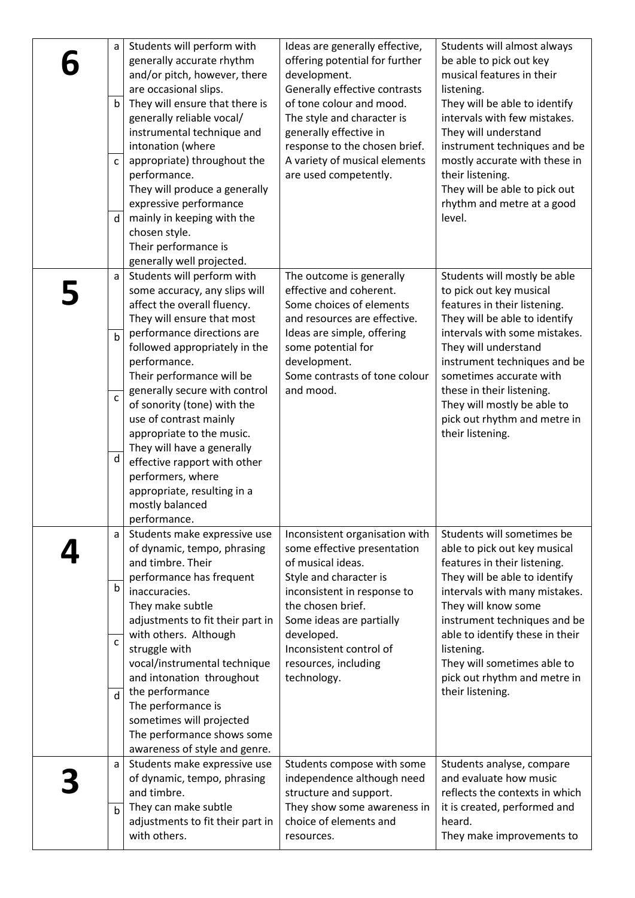| a<br>b<br>C<br>d  | Students will perform with<br>generally accurate rhythm<br>and/or pitch, however, there<br>are occasional slips.<br>They will ensure that there is<br>generally reliable vocal/<br>instrumental technique and<br>intonation (where<br>appropriate) throughout the<br>performance.<br>They will produce a generally<br>expressive performance<br>mainly in keeping with the<br>chosen style.<br>Their performance is<br>generally well projected. | Ideas are generally effective,<br>offering potential for further<br>development.<br>Generally effective contrasts<br>of tone colour and mood.<br>The style and character is<br>generally effective in<br>response to the chosen brief.<br>A variety of musical elements<br>are used competently. | Students will almost always<br>be able to pick out key<br>musical features in their<br>listening.<br>They will be able to identify<br>intervals with few mistakes.<br>They will understand<br>instrument techniques and be<br>mostly accurate with these in<br>their listening.<br>They will be able to pick out<br>rhythm and metre at a good<br>level. |
|-------------------|--------------------------------------------------------------------------------------------------------------------------------------------------------------------------------------------------------------------------------------------------------------------------------------------------------------------------------------------------------------------------------------------------------------------------------------------------|--------------------------------------------------------------------------------------------------------------------------------------------------------------------------------------------------------------------------------------------------------------------------------------------------|----------------------------------------------------------------------------------------------------------------------------------------------------------------------------------------------------------------------------------------------------------------------------------------------------------------------------------------------------------|
| a<br>$\mathsf b$  | Students will perform with<br>some accuracy, any slips will<br>affect the overall fluency.<br>They will ensure that most<br>performance directions are                                                                                                                                                                                                                                                                                           | The outcome is generally<br>effective and coherent.<br>Some choices of elements<br>and resources are effective.<br>Ideas are simple, offering                                                                                                                                                    | Students will mostly be able<br>to pick out key musical<br>features in their listening.<br>They will be able to identify<br>intervals with some mistakes.                                                                                                                                                                                                |
|                   | followed appropriately in the<br>performance.<br>Their performance will be                                                                                                                                                                                                                                                                                                                                                                       | some potential for<br>development.<br>Some contrasts of tone colour                                                                                                                                                                                                                              | They will understand<br>instrument techniques and be<br>sometimes accurate with                                                                                                                                                                                                                                                                          |
| $\mathsf{C}$<br>d | generally secure with control<br>of sonority (tone) with the<br>use of contrast mainly<br>appropriate to the music.<br>They will have a generally<br>effective rapport with other<br>performers, where<br>appropriate, resulting in a<br>mostly balanced<br>performance.                                                                                                                                                                         | and mood.                                                                                                                                                                                                                                                                                        | these in their listening.<br>They will mostly be able to<br>pick out rhythm and metre in<br>their listening.                                                                                                                                                                                                                                             |
| a                 | Students make expressive use<br>of dynamic, tempo, phrasing<br>and timbre. Their<br>performance has frequent                                                                                                                                                                                                                                                                                                                                     | Inconsistent organisation with<br>some effective presentation<br>of musical ideas.<br>Style and character is                                                                                                                                                                                     | Students will sometimes be<br>able to pick out key musical<br>features in their listening.<br>They will be able to identify                                                                                                                                                                                                                              |
| b<br>$\mathsf{C}$ | inaccuracies.<br>They make subtle<br>adjustments to fit their part in<br>with others. Although<br>struggle with<br>vocal/instrumental technique<br>and intonation throughout                                                                                                                                                                                                                                                                     | inconsistent in response to<br>the chosen brief.<br>Some ideas are partially<br>developed.<br>Inconsistent control of<br>resources, including<br>technology.                                                                                                                                     | intervals with many mistakes.<br>They will know some<br>instrument techniques and be<br>able to identify these in their<br>listening.<br>They will sometimes able to<br>pick out rhythm and metre in                                                                                                                                                     |
| d                 | the performance<br>The performance is<br>sometimes will projected<br>The performance shows some<br>awareness of style and genre.                                                                                                                                                                                                                                                                                                                 |                                                                                                                                                                                                                                                                                                  | their listening.                                                                                                                                                                                                                                                                                                                                         |
| a                 | Students make expressive use<br>of dynamic, tempo, phrasing<br>and timbre.<br>They can make subtle                                                                                                                                                                                                                                                                                                                                               | Students compose with some<br>independence although need<br>structure and support.<br>They show some awareness in                                                                                                                                                                                | Students analyse, compare<br>and evaluate how music<br>reflects the contexts in which<br>it is created, performed and                                                                                                                                                                                                                                    |
| b                 | adjustments to fit their part in<br>with others.                                                                                                                                                                                                                                                                                                                                                                                                 | choice of elements and<br>resources.                                                                                                                                                                                                                                                             | heard.<br>They make improvements to                                                                                                                                                                                                                                                                                                                      |